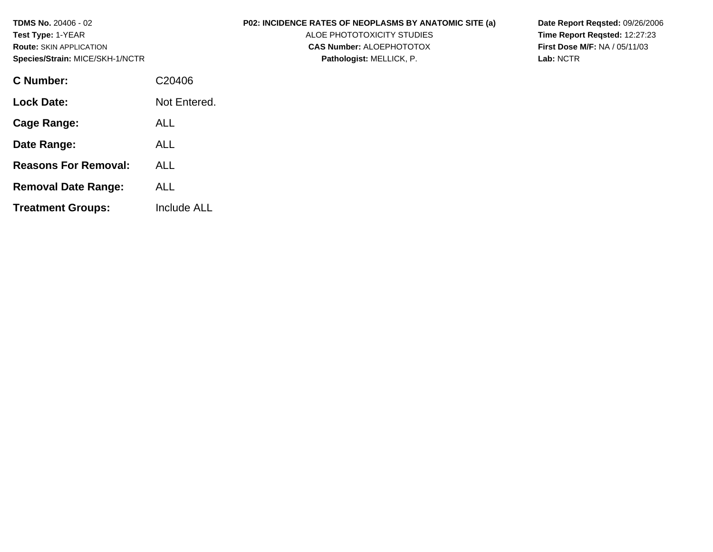| <b>TDMS No. 20406 - 02</b><br><b>Test Type: 1-YEAR</b><br><b>Route: SKIN APPLICATION</b><br>Species/Strain: MICE/SKH-1/NCTR |              | <b>P02: INCIDENCE RATES OF NEOPLASMS BY ANATOMIC SITE (a)</b><br>ALOE PHOTOTOXICITY STUDIES<br><b>CAS Number: ALOEPHOTOTOX</b><br>Pathologist: MELLICK, P. | Date Report Regsted: 09/26/2006<br>Time Report Regsted: 12:27:23<br><b>First Dose M/F: NA / 05/11/03</b><br>Lab: NCTR |
|-----------------------------------------------------------------------------------------------------------------------------|--------------|------------------------------------------------------------------------------------------------------------------------------------------------------------|-----------------------------------------------------------------------------------------------------------------------|
| C Number:                                                                                                                   | C20406       |                                                                                                                                                            |                                                                                                                       |
| <b>Lock Date:</b>                                                                                                           | Not Entered. |                                                                                                                                                            |                                                                                                                       |
| <b>Cage Range:</b>                                                                                                          | <b>ALL</b>   |                                                                                                                                                            |                                                                                                                       |
| Date Range:                                                                                                                 | <b>ALL</b>   |                                                                                                                                                            |                                                                                                                       |
| <b>Reasons For Removal:</b>                                                                                                 | <b>ALL</b>   |                                                                                                                                                            |                                                                                                                       |
| <b>Removal Date Range:</b>                                                                                                  | <b>ALL</b>   |                                                                                                                                                            |                                                                                                                       |
| <b>Treatment Groups:</b>                                                                                                    | Include ALL  |                                                                                                                                                            |                                                                                                                       |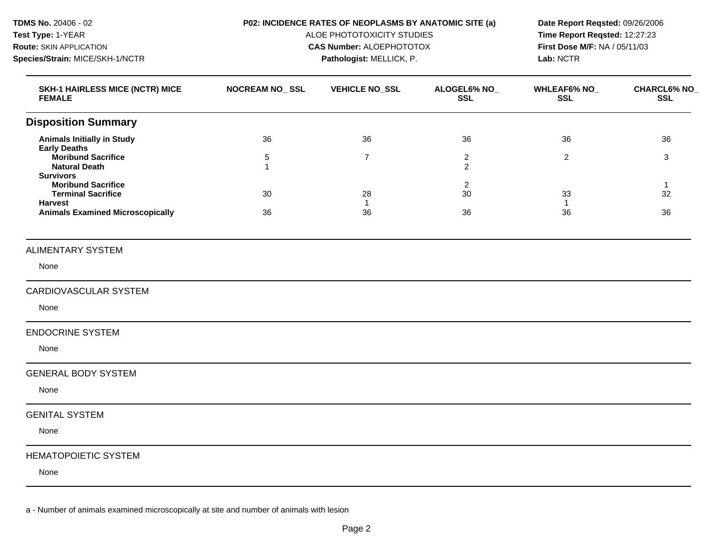**TDMS No.** 20406 - 02 **Test Type:** 1-YEAR **Route:** SKIN APPLICATION **Species/Strain:** MICE/SKH-1/NCTR

#### **P02: INCIDENCE RATES OF NEOPLASMS BY ANATOMIC SITE (a)**

**Pathologist:** MELLICK, P.

ALOE PHOTOTOXICITY STUDIES **CAS Number:** ALOEPHOTOTOX

**Date Report Reqsted:** 09/26/2006 **Time Report Reqsted:** 12:27:23 **First Dose M/F:** NA / 05/11/03 **Lab:** NCTR

| <b>SKH-1 HAIRLESS MICE (NCTR) MICE</b><br><b>FEMALE</b>                                                                                 | <b>NOCREAM NO_SSL</b>                  | <b>VEHICLE NO_SSL</b>    | ALOGEL6% NO_<br><b>SSL</b>             | WHLEAF6% NO_<br><b>SSL</b> | <b>CHARCL6% NO_</b><br><b>SSL</b> |
|-----------------------------------------------------------------------------------------------------------------------------------------|----------------------------------------|--------------------------|----------------------------------------|----------------------------|-----------------------------------|
| <b>Disposition Summary</b>                                                                                                              |                                        |                          |                                        |                            |                                   |
| <b>Animals Initially in Study</b><br><b>Early Deaths</b><br><b>Moribund Sacrifice</b><br><b>Natural Death</b>                           | 36<br>$\overline{5}$<br>$\overline{1}$ | 36<br>$\overline{7}$     | 36<br>$\overline{c}$<br>$\overline{2}$ | 36<br>$\overline{2}$       | 36<br>3                           |
| <b>Survivors</b><br><b>Moribund Sacrifice</b><br><b>Terminal Sacrifice</b><br><b>Harvest</b><br><b>Animals Examined Microscopically</b> | 30<br>36                               | 28<br>$\mathbf{1}$<br>36 | 2<br>30<br>36                          | 33<br>$\overline{1}$<br>36 | 32<br>36                          |
| <b>ALIMENTARY SYSTEM</b>                                                                                                                |                                        |                          |                                        |                            |                                   |
| None                                                                                                                                    |                                        |                          |                                        |                            |                                   |
| CARDIOVASCULAR SYSTEM<br>None                                                                                                           |                                        |                          |                                        |                            |                                   |
| <b>ENDOCRINE SYSTEM</b><br>None                                                                                                         |                                        |                          |                                        |                            |                                   |
| <b>GENERAL BODY SYSTEM</b><br>None                                                                                                      |                                        |                          |                                        |                            |                                   |
| <b>GENITAL SYSTEM</b><br>None                                                                                                           |                                        |                          |                                        |                            |                                   |
| <b>HEMATOPOIETIC SYSTEM</b><br>None                                                                                                     |                                        |                          |                                        |                            |                                   |

a - Number of animals examined microscopically at site and number of animals with lesion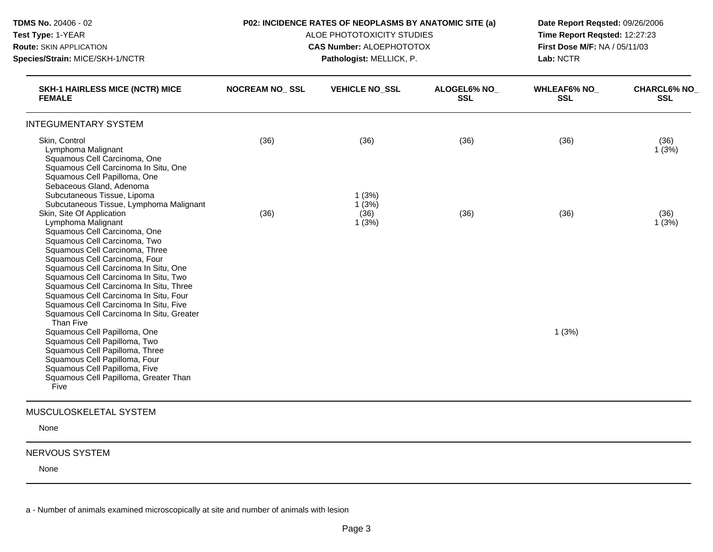| TDMS No. 20406 - 02<br>Test Type: 1-YEAR                                                                                                                                                                                                                                                                                                                                                                                                       |                       | P02: INCIDENCE RATES OF NEOPLASMS BY ANATOMIC SITE (a)<br>ALOE PHOTOTOXICITY STUDIES | Date Report Regsted: 09/26/2006<br>Time Report Reqsted: 12:27:23 |                                  |                                  |
|------------------------------------------------------------------------------------------------------------------------------------------------------------------------------------------------------------------------------------------------------------------------------------------------------------------------------------------------------------------------------------------------------------------------------------------------|-----------------------|--------------------------------------------------------------------------------------|------------------------------------------------------------------|----------------------------------|----------------------------------|
| Route: SKIN APPLICATION                                                                                                                                                                                                                                                                                                                                                                                                                        |                       | <b>CAS Number: ALOEPHOTOTOX</b>                                                      |                                                                  | First Dose M/F: NA / 05/11/03    |                                  |
| Species/Strain: MICE/SKH-1/NCTR                                                                                                                                                                                                                                                                                                                                                                                                                |                       | Pathologist: MELLICK, P.                                                             |                                                                  | Lab: NCTR                        |                                  |
| <b>SKH-1 HAIRLESS MICE (NCTR) MICE</b><br><b>FEMALE</b>                                                                                                                                                                                                                                                                                                                                                                                        | <b>NOCREAM NO SSL</b> | <b>VEHICLE NO SSL</b>                                                                | <b>ALOGEL6% NO</b><br><b>SSL</b>                                 | <b>WHLEAF6% NO</b><br><b>SSL</b> | <b>CHARCL6% NO</b><br><b>SSL</b> |
| <b>INTEGUMENTARY SYSTEM</b>                                                                                                                                                                                                                                                                                                                                                                                                                    |                       |                                                                                      |                                                                  |                                  |                                  |
| Skin, Control<br>Lymphoma Malignant<br>Squamous Cell Carcinoma, One<br>Squamous Cell Carcinoma In Situ, One<br>Squamous Cell Papilloma, One<br>Sebaceous Gland, Adenoma                                                                                                                                                                                                                                                                        | (36)                  | (36)                                                                                 | (36)                                                             | (36)                             | (36)<br>1(3%)                    |
| Subcutaneous Tissue, Lipoma<br>Subcutaneous Tissue, Lymphoma Malignant<br>Skin, Site Of Application<br>Lymphoma Malignant<br>Squamous Cell Carcinoma, One<br>Squamous Cell Carcinoma, Two<br>Squamous Cell Carcinoma, Three<br>Squamous Cell Carcinoma, Four<br>Squamous Cell Carcinoma In Situ, One                                                                                                                                           | (36)                  | 1(3%)<br>1(3%)<br>(36)<br>1(3%)                                                      | (36)                                                             | (36)                             | (36)<br>1(3%)                    |
| Squamous Cell Carcinoma In Situ, Two<br>Squamous Cell Carcinoma In Situ, Three<br>Squamous Cell Carcinoma In Situ, Four<br>Squamous Cell Carcinoma In Situ, Five<br>Squamous Cell Carcinoma In Situ, Greater<br>Than Five<br>Squamous Cell Papilloma, One<br>Squamous Cell Papilloma, Two<br>Squamous Cell Papilloma, Three<br>Squamous Cell Papilloma, Four<br>Squamous Cell Papilloma, Five<br>Squamous Cell Papilloma, Greater Than<br>Five |                       |                                                                                      |                                                                  | 1(3%)                            |                                  |

None

### NERVOUS SYSTEM

None

a - Number of animals examined microscopically at site and number of animals with lesion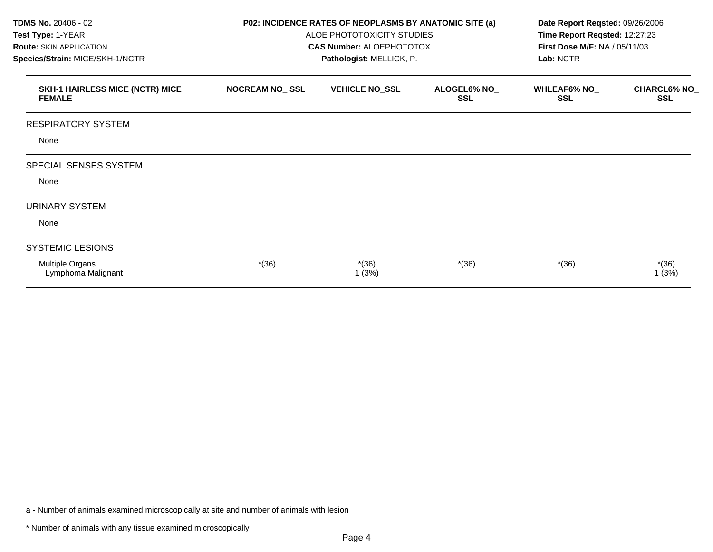| TDMS No. 20406 - 02<br>Test Type: 1-YEAR<br><b>Route: SKIN APPLICATION</b><br>Species/Strain: MICE/SKH-1/NCTR |                       | P02: INCIDENCE RATES OF NEOPLASMS BY ANATOMIC SITE (a)<br>ALOE PHOTOTOXICITY STUDIES<br><b>CAS Number: ALOEPHOTOTOX</b><br>Pathologist: MELLICK, P. | Date Report Reqsted: 09/26/2006<br>Time Report Reqsted: 12:27:23<br>First Dose M/F: NA / 05/11/03<br>Lab: NCTR |                                   |                                   |
|---------------------------------------------------------------------------------------------------------------|-----------------------|-----------------------------------------------------------------------------------------------------------------------------------------------------|----------------------------------------------------------------------------------------------------------------|-----------------------------------|-----------------------------------|
| <b>SKH-1 HAIRLESS MICE (NCTR) MICE</b><br><b>FEMALE</b>                                                       | <b>NOCREAM NO_SSL</b> | <b>VEHICLE NO_SSL</b>                                                                                                                               | ALOGEL6% NO_<br><b>SSL</b>                                                                                     | <b>WHLEAF6% NO_</b><br><b>SSL</b> | <b>CHARCL6% NO_</b><br><b>SSL</b> |
| <b>RESPIRATORY SYSTEM</b>                                                                                     |                       |                                                                                                                                                     |                                                                                                                |                                   |                                   |
| None                                                                                                          |                       |                                                                                                                                                     |                                                                                                                |                                   |                                   |
| SPECIAL SENSES SYSTEM                                                                                         |                       |                                                                                                                                                     |                                                                                                                |                                   |                                   |
| None                                                                                                          |                       |                                                                                                                                                     |                                                                                                                |                                   |                                   |
| <b>URINARY SYSTEM</b>                                                                                         |                       |                                                                                                                                                     |                                                                                                                |                                   |                                   |
| None                                                                                                          |                       |                                                                                                                                                     |                                                                                                                |                                   |                                   |
| <b>SYSTEMIC LESIONS</b>                                                                                       |                       |                                                                                                                                                     |                                                                                                                |                                   |                                   |
| Multiple Organs<br>Lymphoma Malignant                                                                         | $*(36)$               | $*(36)$<br>1(3%)                                                                                                                                    | $*(36)$                                                                                                        | $*(36)$                           | $*(36)$<br>1(3%)                  |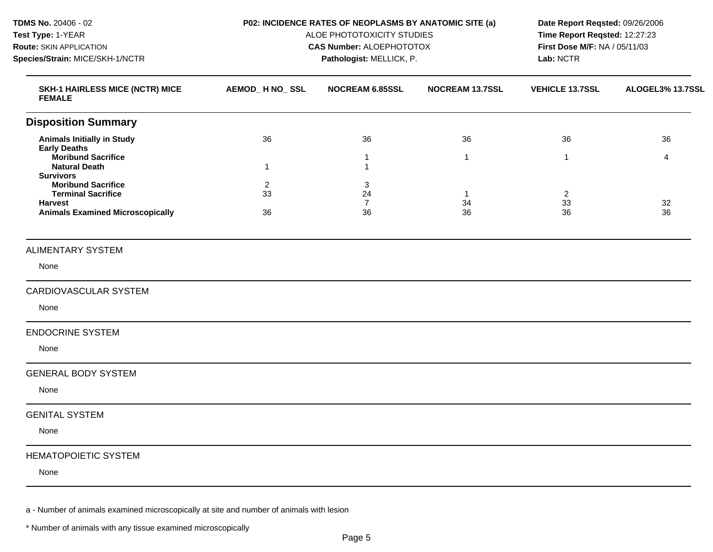| TDMS No. 20406 - 02<br>Test Type: 1-YEAR<br>Route: SKIN APPLICATION<br>Species/Strain: MICE/SKH-1/NCTR              |                            | P02: INCIDENCE RATES OF NEOPLASMS BY ANATOMIC SITE (a)<br>ALOE PHOTOTOXICITY STUDIES<br><b>CAS Number: ALOEPHOTOTOX</b><br>Pathologist: MELLICK, P. | Date Report Reqsted: 09/26/2006<br>Time Report Reqsted: 12:27:23<br>First Dose M/F: NA / 05/11/03<br>Lab: NCTR |                            |                  |
|---------------------------------------------------------------------------------------------------------------------|----------------------------|-----------------------------------------------------------------------------------------------------------------------------------------------------|----------------------------------------------------------------------------------------------------------------|----------------------------|------------------|
| <b>SKH-1 HAIRLESS MICE (NCTR) MICE</b><br><b>FEMALE</b>                                                             | AEMOD_H NO_SSL             | <b>NOCREAM 6.85SSL</b>                                                                                                                              | <b>NOCREAM 13.7SSL</b>                                                                                         | <b>VEHICLE 13.7SSL</b>     | ALOGEL3% 13.7SSL |
| <b>Disposition Summary</b>                                                                                          |                            |                                                                                                                                                     |                                                                                                                |                            |                  |
| <b>Animals Initially in Study</b><br><b>Early Deaths</b>                                                            | 36                         | 36                                                                                                                                                  | 36                                                                                                             | 36                         | 36               |
| <b>Moribund Sacrifice</b><br><b>Natural Death</b><br><b>Survivors</b>                                               | $\mathbf{1}$               | 1<br>1                                                                                                                                              | $\mathbf{1}$                                                                                                   | $\overline{1}$             | $\overline{4}$   |
| <b>Moribund Sacrifice</b><br><b>Terminal Sacrifice</b><br><b>Harvest</b><br><b>Animals Examined Microscopically</b> | $\overline{c}$<br>33<br>36 | 3<br>24<br>$\overline{7}$<br>36                                                                                                                     | -1<br>34<br>36                                                                                                 | $\overline{2}$<br>33<br>36 | 32<br>36         |
|                                                                                                                     |                            |                                                                                                                                                     |                                                                                                                |                            |                  |
| <b>ALIMENTARY SYSTEM</b>                                                                                            |                            |                                                                                                                                                     |                                                                                                                |                            |                  |
| None                                                                                                                |                            |                                                                                                                                                     |                                                                                                                |                            |                  |
| <b>CARDIOVASCULAR SYSTEM</b>                                                                                        |                            |                                                                                                                                                     |                                                                                                                |                            |                  |
| None                                                                                                                |                            |                                                                                                                                                     |                                                                                                                |                            |                  |
| <b>ENDOCRINE SYSTEM</b>                                                                                             |                            |                                                                                                                                                     |                                                                                                                |                            |                  |
| None                                                                                                                |                            |                                                                                                                                                     |                                                                                                                |                            |                  |
| <b>GENERAL BODY SYSTEM</b>                                                                                          |                            |                                                                                                                                                     |                                                                                                                |                            |                  |
| None                                                                                                                |                            |                                                                                                                                                     |                                                                                                                |                            |                  |
| <b>GENITAL SYSTEM</b>                                                                                               |                            |                                                                                                                                                     |                                                                                                                |                            |                  |
| None                                                                                                                |                            |                                                                                                                                                     |                                                                                                                |                            |                  |
| <b>HEMATOPOIETIC SYSTEM</b>                                                                                         |                            |                                                                                                                                                     |                                                                                                                |                            |                  |
| None                                                                                                                |                            |                                                                                                                                                     |                                                                                                                |                            |                  |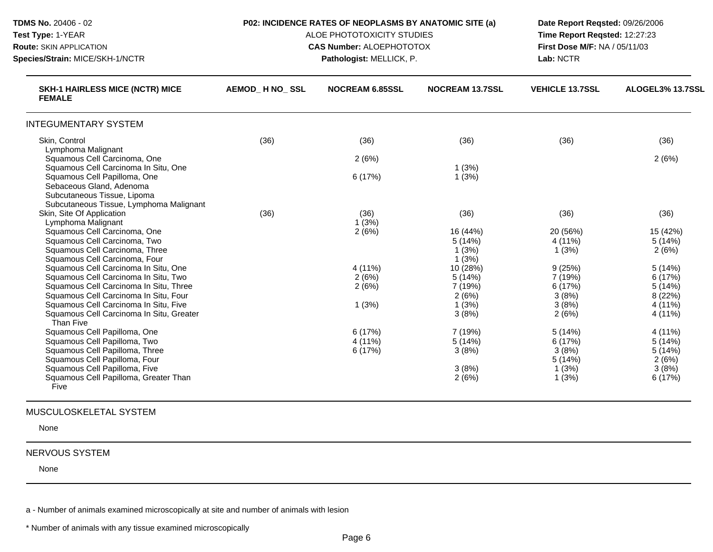| TDMS No. 20406 - 02<br>Test Type: 1-YEAR<br><b>Route: SKIN APPLICATION</b><br>Species/Strain: MICE/SKH-1/NCTR                                                                                                                                                     | P02: INCIDENCE RATES OF NEOPLASMS BY ANATOMIC SITE (a)<br>ALOE PHOTOTOXICITY STUDIES<br><b>CAS Number: ALOEPHOTOTOX</b><br>Pathologist: MELLICK, P. |                                    |                                                         | Date Report Regsted: 09/26/2006<br>Time Report Reqsted: 12:27:23<br><b>First Dose M/F: NA / 05/11/03</b><br>Lab: NCTR |                                                             |
|-------------------------------------------------------------------------------------------------------------------------------------------------------------------------------------------------------------------------------------------------------------------|-----------------------------------------------------------------------------------------------------------------------------------------------------|------------------------------------|---------------------------------------------------------|-----------------------------------------------------------------------------------------------------------------------|-------------------------------------------------------------|
| <b>SKH-1 HAIRLESS MICE (NCTR) MICE</b><br><b>FEMALE</b>                                                                                                                                                                                                           | AEMOD H NO SSL                                                                                                                                      | <b>NOCREAM 6.85SSL</b>             | <b>NOCREAM 13.7SSL</b>                                  | <b>VEHICLE 13.7SSL</b>                                                                                                | ALOGEL3% 13.7SSL                                            |
| <b>INTEGUMENTARY SYSTEM</b>                                                                                                                                                                                                                                       |                                                                                                                                                     |                                    |                                                         |                                                                                                                       |                                                             |
| Skin, Control                                                                                                                                                                                                                                                     | (36)                                                                                                                                                | (36)                               | (36)                                                    | (36)                                                                                                                  | (36)                                                        |
| Lymphoma Malignant<br>Squamous Cell Carcinoma, One<br>Squamous Cell Carcinoma In Situ, One<br>Squamous Cell Papilloma, One<br>Sebaceous Gland, Adenoma                                                                                                            |                                                                                                                                                     | 2(6%)<br>6 (17%)                   | 1(3%)<br>1(3%)                                          |                                                                                                                       | 2(6%)                                                       |
| Subcutaneous Tissue, Lipoma<br>Subcutaneous Tissue, Lymphoma Malignant<br>Skin, Site Of Application<br>Lymphoma Malignant                                                                                                                                         | (36)                                                                                                                                                | (36)<br>1(3%)                      | (36)                                                    | (36)                                                                                                                  | (36)                                                        |
| Squamous Cell Carcinoma, One<br>Squamous Cell Carcinoma, Two<br>Squamous Cell Carcinoma, Three<br>Squamous Cell Carcinoma, Four                                                                                                                                   |                                                                                                                                                     | 2(6%)                              | 16 (44%)<br>5(14%)<br>1(3%)<br>1(3%)                    | 20 (56%)<br>4 (11%)<br>1(3%)                                                                                          | 15 (42%)<br>5(14%)<br>2(6%)                                 |
| Squamous Cell Carcinoma In Situ, One<br>Squamous Cell Carcinoma In Situ, Two<br>Squamous Cell Carcinoma In Situ, Three<br>Squamous Cell Carcinoma In Situ, Four<br>Squamous Cell Carcinoma In Situ, Five<br>Squamous Cell Carcinoma In Situ, Greater<br>Than Five |                                                                                                                                                     | 4 (11%)<br>2(6%)<br>2(6%)<br>1(3%) | 10 (28%)<br>5(14%)<br>7(19%)<br>2(6%)<br>1(3%)<br>3(8%) | 9(25%)<br>7 (19%)<br>6(17%)<br>3(8%)<br>3(8%)<br>2(6%)                                                                | 5(14%)<br>6(17%)<br>5(14%)<br>8 (22%)<br>4 (11%)<br>4 (11%) |
| Squamous Cell Papilloma, One<br>Squamous Cell Papilloma, Two<br>Squamous Cell Papilloma, Three<br>Squamous Cell Papilloma, Four<br>Squamous Cell Papilloma, Five<br>Squamous Cell Papilloma, Greater Than<br>Five                                                 |                                                                                                                                                     | 6(17%)<br>4 (11%)<br>6 (17%)       | 7(19%)<br>5(14%)<br>3(8%)<br>3(8%)<br>2(6%)             | 5(14%)<br>6(17%)<br>3(8%)<br>5(14%)<br>1(3%)<br>1(3%)                                                                 | 4 (11%)<br>5(14%)<br>5(14%)<br>2(6%)<br>3(8%)<br>6(17%)     |

None

# NERVOUS SYSTEM

None

a - Number of animals examined microscopically at site and number of animals with lesion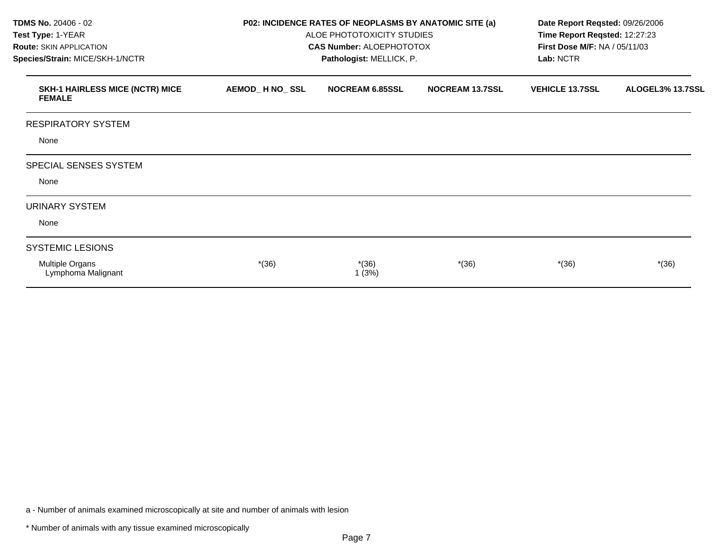| <b>TDMS No. 20406 - 02</b><br>Test Type: 1-YEAR<br><b>Route: SKIN APPLICATION</b><br>Species/Strain: MICE/SKH-1/NCTR | P02: INCIDENCE RATES OF NEOPLASMS BY ANATOMIC SITE (a)<br>ALOE PHOTOTOXICITY STUDIES<br><b>CAS Number: ALOEPHOTOTOX</b><br>Pathologist: MELLICK, P. |                        |                        | Date Report Reqsted: 09/26/2006<br>Time Report Reqsted: 12:27:23<br>First Dose M/F: NA / 05/11/03<br>Lab: NCTR |                  |
|----------------------------------------------------------------------------------------------------------------------|-----------------------------------------------------------------------------------------------------------------------------------------------------|------------------------|------------------------|----------------------------------------------------------------------------------------------------------------|------------------|
| <b>SKH-1 HAIRLESS MICE (NCTR) MICE</b><br><b>FEMALE</b>                                                              | AEMOD_H NO_SSL                                                                                                                                      | <b>NOCREAM 6.85SSL</b> | <b>NOCREAM 13.7SSL</b> | <b>VEHICLE 13.7SSL</b>                                                                                         | ALOGEL3% 13.7SSL |
| <b>RESPIRATORY SYSTEM</b>                                                                                            |                                                                                                                                                     |                        |                        |                                                                                                                |                  |
| None                                                                                                                 |                                                                                                                                                     |                        |                        |                                                                                                                |                  |
| SPECIAL SENSES SYSTEM                                                                                                |                                                                                                                                                     |                        |                        |                                                                                                                |                  |
| None                                                                                                                 |                                                                                                                                                     |                        |                        |                                                                                                                |                  |
| <b>URINARY SYSTEM</b>                                                                                                |                                                                                                                                                     |                        |                        |                                                                                                                |                  |
| None                                                                                                                 |                                                                                                                                                     |                        |                        |                                                                                                                |                  |
| <b>SYSTEMIC LESIONS</b>                                                                                              |                                                                                                                                                     |                        |                        |                                                                                                                |                  |
| Multiple Organs<br>Lymphoma Malignant                                                                                | $*(36)$                                                                                                                                             | $*(36)$<br>1(3%)       | $*(36)$                | $*(36)$                                                                                                        | $*(36)$          |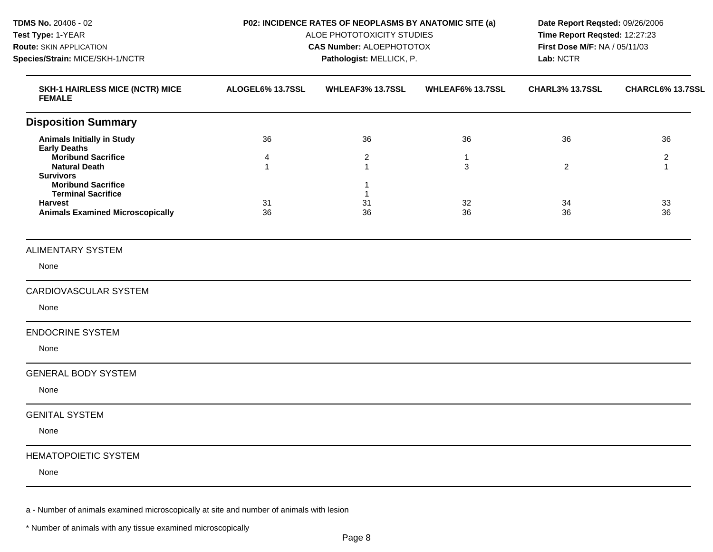**TDMS No.** 20406 - 02 **Test Type:** 1-YEAR **Route:** SKIN APPLICATION **Species/Strain:** MICE/SKH-1/NCTR **P02: INCIDENCE RATES OF NEOPLASMS BY ANATOMIC SITE (a)**  ALOE PHOTOTOXICITY STUDIES **CAS Number:** ALOEPHOTOTOX **Pathologist:** MELLICK, P. **Date Report Reqsted:** 09/26/2006 **Time Report Reqsted:** 12:27:23 **First Dose M/F:** NA / 05/11/03 **Lab:** NCTR **SKH-1 HAIRLESS MICE (NCTR) MICE FEMALE ALOGEL6% 13.7SSL WHLEAF3% 13.7SSL WHLEAF6% 13.7SSL CHARL3% 13.7SSL CHARCL6% 13.7SSL Disposition Summary Animals Initially in Study Early Deaths Moribund Sacrifice Natural Death Survivors Moribund Sacrifice Terminal Sacrifice Harvest Animals Examined Microscopically**  36 4 1 31 36 36 2 1 1 1 31 36 36 1 3 32 36 36 2 34 36 36 2 1 33 36 ALIMENTARY SYSTEM None CARDIOVASCULAR SYSTEM None ENDOCRINE SYSTEM None GENERAL BODY SYSTEM None GENITAL SYSTEM None HEMATOPOIETIC SYSTEM None

a - Number of animals examined microscopically at site and number of animals with lesion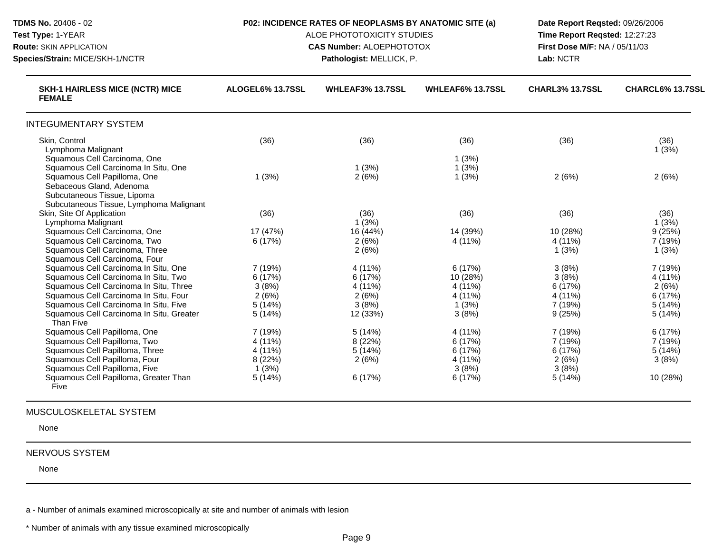| TDMS No. 20406 - 02<br>Test Type: 1-YEAR<br><b>Route: SKIN APPLICATION</b><br>Species/Strain: MICE/SKH-1/NCTR                                                   | P02: INCIDENCE RATES OF NEOPLASMS BY ANATOMIC SITE (a)<br>ALOE PHOTOTOXICITY STUDIES<br><b>CAS Number: ALOEPHOTOTOX</b><br>Pathologist: MELLICK, P. |                         |                         | Date Report Regsted: 09/26/2006<br>Time Report Reqsted: 12:27:23<br>First Dose M/F: NA / 05/11/03<br>Lab: NCTR |                  |
|-----------------------------------------------------------------------------------------------------------------------------------------------------------------|-----------------------------------------------------------------------------------------------------------------------------------------------------|-------------------------|-------------------------|----------------------------------------------------------------------------------------------------------------|------------------|
| <b>SKH-1 HAIRLESS MICE (NCTR) MICE</b><br><b>FEMALE</b>                                                                                                         | ALOGEL6% 13.7SSL                                                                                                                                    | <b>WHLEAF3% 13.7SSL</b> | WHLEAF6% 13.7SSL        | <b>CHARL3% 13.7SSL</b>                                                                                         | CHARCL6% 13.7SSL |
| <b>INTEGUMENTARY SYSTEM</b>                                                                                                                                     |                                                                                                                                                     |                         |                         |                                                                                                                |                  |
| Skin, Control<br>Lymphoma Malignant                                                                                                                             | (36)                                                                                                                                                | (36)                    | (36)                    | (36)                                                                                                           | (36)<br>1(3%)    |
| Squamous Cell Carcinoma, One<br>Squamous Cell Carcinoma In Situ, One<br>Squamous Cell Papilloma, One<br>Sebaceous Gland, Adenoma<br>Subcutaneous Tissue, Lipoma | 1(3%)                                                                                                                                               | 1(3%)<br>2(6%)          | 1(3%)<br>1(3%)<br>1(3%) | 2(6%)                                                                                                          | 2(6%)            |
| Subcutaneous Tissue, Lymphoma Malignant<br>Skin, Site Of Application                                                                                            | (36)                                                                                                                                                | (36)                    | (36)                    | (36)                                                                                                           | (36)             |
| Lymphoma Malignant                                                                                                                                              |                                                                                                                                                     | 1(3%)                   |                         |                                                                                                                | 1(3%)            |
| Squamous Cell Carcinoma, One                                                                                                                                    | 17 (47%)                                                                                                                                            | 16 (44%)                | 14 (39%)                | 10 (28%)                                                                                                       | 9(25%)           |
| Squamous Cell Carcinoma, Two                                                                                                                                    | 6(17%)                                                                                                                                              | 2(6%)                   | 4 (11%)                 | 4 (11%)                                                                                                        | 7 (19%)          |
| Squamous Cell Carcinoma, Three                                                                                                                                  |                                                                                                                                                     | 2(6%)                   |                         | 1(3%)                                                                                                          | 1(3%)            |
| Squamous Cell Carcinoma, Four                                                                                                                                   |                                                                                                                                                     |                         |                         |                                                                                                                |                  |
| Squamous Cell Carcinoma In Situ, One                                                                                                                            | 7 (19%)                                                                                                                                             | 4 (11%)                 | 6(17%)                  | 3(8%)                                                                                                          | 7(19%)           |
| Squamous Cell Carcinoma In Situ, Two                                                                                                                            | 6(17%)                                                                                                                                              | 6 (17%)                 | 10 (28%)                | 3(8%)                                                                                                          | 4 (11%)          |
| Squamous Cell Carcinoma In Situ, Three                                                                                                                          | 3(8%)                                                                                                                                               | 4 (11%)                 | 4 (11%)                 | 6(17%)                                                                                                         | 2(6%)            |
| Squamous Cell Carcinoma In Situ, Four                                                                                                                           | 2(6%)                                                                                                                                               | 2(6%)                   | 4 (11%)                 | 4 (11%)                                                                                                        | 6 (17%)          |
| Squamous Cell Carcinoma In Situ, Five                                                                                                                           | 5(14%)                                                                                                                                              | 3(8%)                   | 1(3%)                   | 7 (19%)                                                                                                        | 5(14%)           |
| Squamous Cell Carcinoma In Situ, Greater<br>Than Five                                                                                                           | 5(14%)                                                                                                                                              | 12 (33%)                | 3(8%)                   | 9(25%)                                                                                                         | 5(14%)           |
| Squamous Cell Papilloma, One                                                                                                                                    | 7 (19%)                                                                                                                                             | 5(14%)                  | 4 (11%)                 | 7 (19%)                                                                                                        | 6(17%)           |
| Squamous Cell Papilloma, Two                                                                                                                                    | 4 (11%)                                                                                                                                             | 8(22%)                  | 6(17%)                  | 7(19%)                                                                                                         | 7 (19%)          |
| Squamous Cell Papilloma, Three                                                                                                                                  | 4 (11%)                                                                                                                                             | 5(14%)                  | 6 (17%)                 | 6 (17%)                                                                                                        | 5(14%)           |
| Squamous Cell Papilloma, Four                                                                                                                                   | 8 (22%)                                                                                                                                             | 2(6%)                   | 4 (11%)                 | 2(6%)                                                                                                          | 3(8%)            |
| Squamous Cell Papilloma, Five                                                                                                                                   | 1(3%)                                                                                                                                               |                         | 3(8%)                   | 3(8%)                                                                                                          |                  |
| Squamous Cell Papilloma, Greater Than<br>Five                                                                                                                   | 5(14%)                                                                                                                                              | 6 (17%)                 | 6 (17%)                 | 5(14%)                                                                                                         | 10 (28%)         |

None

# NERVOUS SYSTEM

None

a - Number of animals examined microscopically at site and number of animals with lesion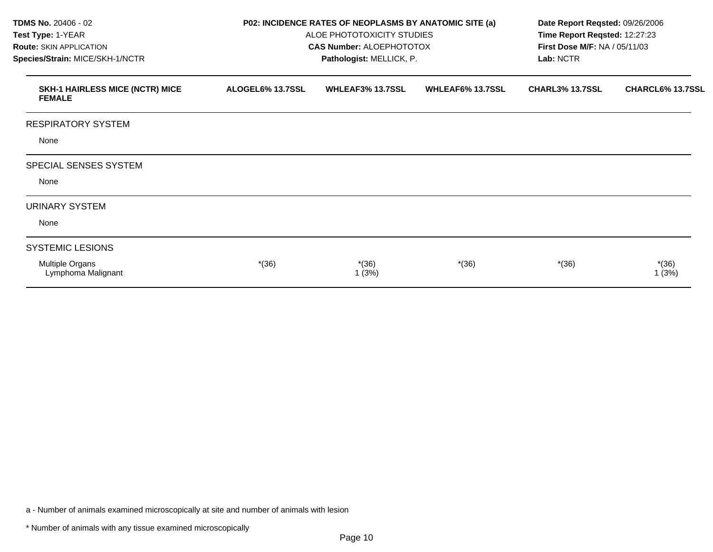| <b>TDMS No. 20406 - 02</b><br>Test Type: 1-YEAR<br><b>Route: SKIN APPLICATION</b><br>Species/Strain: MICE/SKH-1/NCTR | P02: INCIDENCE RATES OF NEOPLASMS BY ANATOMIC SITE (a)<br>ALOE PHOTOTOXICITY STUDIES<br><b>CAS Number: ALOEPHOTOTOX</b><br>Pathologist: MELLICK, P. |                         |                         | Date Report Reqsted: 09/26/2006<br>Time Report Reqsted: 12:27:23<br><b>First Dose M/F: NA / 05/11/03</b><br>Lab: NCTR |                  |
|----------------------------------------------------------------------------------------------------------------------|-----------------------------------------------------------------------------------------------------------------------------------------------------|-------------------------|-------------------------|-----------------------------------------------------------------------------------------------------------------------|------------------|
| <b>SKH-1 HAIRLESS MICE (NCTR) MICE</b><br><b>FEMALE</b>                                                              | ALOGEL6% 13.7SSL                                                                                                                                    | <b>WHLEAF3% 13.7SSL</b> | <b>WHLEAF6% 13.7SSL</b> | <b>CHARL3% 13.7SSL</b>                                                                                                | CHARCL6% 13.7SSL |
| <b>RESPIRATORY SYSTEM</b>                                                                                            |                                                                                                                                                     |                         |                         |                                                                                                                       |                  |
| None                                                                                                                 |                                                                                                                                                     |                         |                         |                                                                                                                       |                  |
| SPECIAL SENSES SYSTEM                                                                                                |                                                                                                                                                     |                         |                         |                                                                                                                       |                  |
| None                                                                                                                 |                                                                                                                                                     |                         |                         |                                                                                                                       |                  |
| <b>URINARY SYSTEM</b>                                                                                                |                                                                                                                                                     |                         |                         |                                                                                                                       |                  |
| None                                                                                                                 |                                                                                                                                                     |                         |                         |                                                                                                                       |                  |
| <b>SYSTEMIC LESIONS</b>                                                                                              |                                                                                                                                                     |                         |                         |                                                                                                                       |                  |
| Multiple Organs<br>Lymphoma Malignant                                                                                | $*(36)$                                                                                                                                             | $*(36)$<br>1(3%)        | $*(36)$                 | $*(36)$                                                                                                               | $*(36)$<br>1(3%) |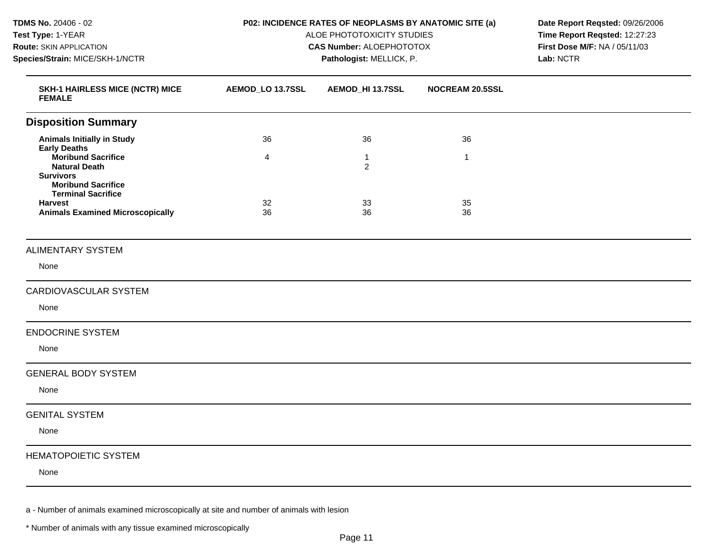**TDMS No.** 20406 - 02 **Test Type:** 1-YEAR **Route:** SKIN APPLICATION **Species/Strain:** MICE/SKH-1/NCTR **P02: INCIDENCE RATES OF NEOPLASMS BY ANATOMIC SITE (a)**  ALOE PHOTOTOXICITY STUDIES **CAS Number:** ALOEPHOTOTOX **Pathologist:** MELLICK, P. **Date Report Reqsted:** 09/26/2006 **Time Report Reqsted:** 12:27:23 **First Dose M/F:** NA / 05/11/03 **Lab:** NCTR **SKH-1 HAIRLESS MICE (NCTR) MICE FEMALE AEMOD\_LO 13.7SSL AEMOD\_HI 13.7SSL NOCREAM 20.5SSL Disposition Summary Animals Initially in Study Early Deaths Moribund Sacrifice Natural Death Survivors Moribund Sacrifice Terminal Sacrifice Harvest Animals Examined Microscopically**  36 4 32 36 36 1 2 33 36 36 1 35 36 ALIMENTARY SYSTEM None CARDIOVASCULAR SYSTEM None ENDOCRINE SYSTEM None GENERAL BODY SYSTEM None GENITAL SYSTEM None HEMATOPOIETIC SYSTEM None

a - Number of animals examined microscopically at site and number of animals with lesion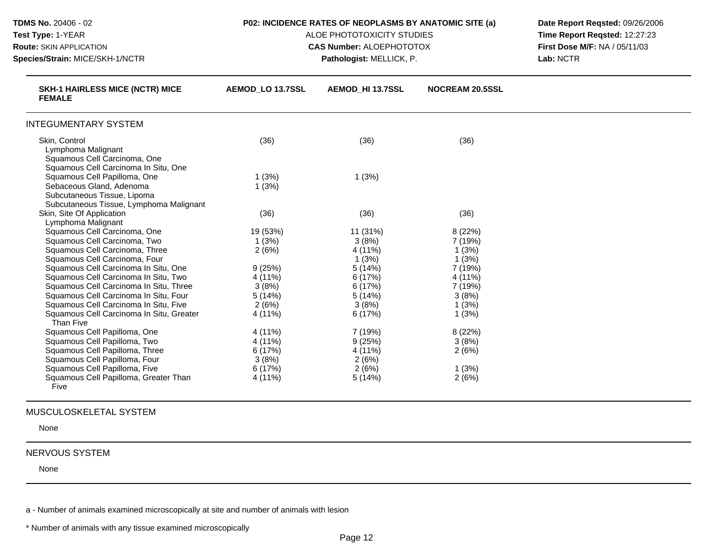| TDMS No. 20406 - 02<br>Test Type: 1-YEAR<br>Route: SKIN APPLICATION<br>Species/Strain: MICE/SKH-1/NCTR                             | P02: INCIDENCE RATES OF NEOPLASMS BY ANATOMIC SITE (a)<br>ALOE PHOTOTOXICITY STUDIES<br><b>CAS Number: ALOEPHOTOTOX</b><br>Pathologist: MELLICK, P. |                  |                        | Date Report Regsted: 09/26/2006<br>Time Report Regsted: 12:27:23<br>First Dose M/F: NA / 05/11/03<br>Lab: NCTR |
|------------------------------------------------------------------------------------------------------------------------------------|-----------------------------------------------------------------------------------------------------------------------------------------------------|------------------|------------------------|----------------------------------------------------------------------------------------------------------------|
| <b>SKH-1 HAIRLESS MICE (NCTR) MICE</b><br><b>FEMALE</b>                                                                            | <b>AEMOD LO 13.7SSL</b>                                                                                                                             | AEMOD HI 13.7SSL | <b>NOCREAM 20.5SSL</b> |                                                                                                                |
| <b>INTEGUMENTARY SYSTEM</b>                                                                                                        |                                                                                                                                                     |                  |                        |                                                                                                                |
| Skin, Control<br>Lymphoma Malignant<br>Squamous Cell Carcinoma, One<br>Squamous Cell Carcinoma In Situ, One                        | (36)                                                                                                                                                | (36)             | (36)                   |                                                                                                                |
| Squamous Cell Papilloma, One<br>Sebaceous Gland, Adenoma<br>Subcutaneous Tissue, Lipoma<br>Subcutaneous Tissue, Lymphoma Malignant | 1(3%)<br>1(3%)                                                                                                                                      | 1(3%)            |                        |                                                                                                                |
| Skin, Site Of Application<br>Lymphoma Malignant                                                                                    | (36)                                                                                                                                                | (36)             | (36)                   |                                                                                                                |
| Squamous Cell Carcinoma, One                                                                                                       | 19 (53%)                                                                                                                                            | 11 (31%)         | 8 (22%)                |                                                                                                                |
| Squamous Cell Carcinoma, Two                                                                                                       | 1(3%)                                                                                                                                               | 3(8%)            | 7 (19%)                |                                                                                                                |
| Squamous Cell Carcinoma, Three                                                                                                     | 2(6%)                                                                                                                                               | 4 (11%)          | 1(3%)                  |                                                                                                                |
| Squamous Cell Carcinoma, Four                                                                                                      |                                                                                                                                                     | 1(3%)            | 1(3%)                  |                                                                                                                |
| Squamous Cell Carcinoma In Situ, One                                                                                               | 9(25%)                                                                                                                                              | 5(14%)           | 7 (19%)                |                                                                                                                |
| Squamous Cell Carcinoma In Situ, Two                                                                                               | 4 (11%)                                                                                                                                             | 6(17%)           | 4 (11%)                |                                                                                                                |
| Squamous Cell Carcinoma In Situ, Three                                                                                             | 3(8%)                                                                                                                                               | 6 (17%)          | 7 (19%)                |                                                                                                                |
| Squamous Cell Carcinoma In Situ, Four                                                                                              | 5(14%)                                                                                                                                              | 5(14%)           | 3(8%)                  |                                                                                                                |
| Squamous Cell Carcinoma In Situ, Five                                                                                              | 2(6%)                                                                                                                                               | 3(8%)            | 1(3%)                  |                                                                                                                |
| Squamous Cell Carcinoma In Situ, Greater<br>Than Five                                                                              | 4 (11%)                                                                                                                                             | 6(17%)           | 1(3%)                  |                                                                                                                |
| Squamous Cell Papilloma, One                                                                                                       | 4 (11%)                                                                                                                                             | 7 (19%)          | 8 (22%)                |                                                                                                                |
| Squamous Cell Papilloma, Two                                                                                                       | 4 (11%)                                                                                                                                             | 9(25%)           | 3(8%)                  |                                                                                                                |
| Squamous Cell Papilloma, Three                                                                                                     | 6(17%)                                                                                                                                              | 4 (11%)          | 2(6%)                  |                                                                                                                |
| Squamous Cell Papilloma, Four                                                                                                      | 3(8%)                                                                                                                                               | 2(6%)            |                        |                                                                                                                |
| Squamous Cell Papilloma, Five                                                                                                      | 6 (17%)                                                                                                                                             | 2(6%)            | 1(3%)                  |                                                                                                                |
| Squamous Cell Papilloma, Greater Than<br>Five                                                                                      | 4 (11%)                                                                                                                                             | 5(14%)           | 2(6%)                  |                                                                                                                |

None

# NERVOUS SYSTEM

None

a - Number of animals examined microscopically at site and number of animals with lesion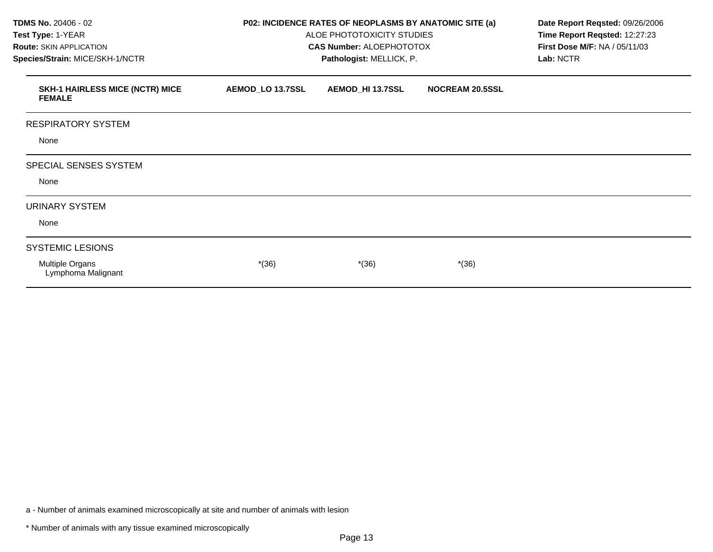| TDMS No. 20406 - 02<br>Test Type: 1-YEAR<br><b>Route: SKIN APPLICATION</b><br>Species/Strain: MICE/SKH-1/NCTR | P02: INCIDENCE RATES OF NEOPLASMS BY ANATOMIC SITE (a)<br>ALOE PHOTOTOXICITY STUDIES<br><b>CAS Number: ALOEPHOTOTOX</b> | Date Report Reqsted: 09/26/2006<br>Time Report Reqsted: 12:27:23<br>First Dose M/F: NA / 05/11/03<br>Lab: NCTR |                        |  |
|---------------------------------------------------------------------------------------------------------------|-------------------------------------------------------------------------------------------------------------------------|----------------------------------------------------------------------------------------------------------------|------------------------|--|
| <b>SKH-1 HAIRLESS MICE (NCTR) MICE</b><br><b>FEMALE</b>                                                       | AEMOD_LO 13.7SSL                                                                                                        | AEMOD_HI 13.7SSL                                                                                               | <b>NOCREAM 20.5SSL</b> |  |
| <b>RESPIRATORY SYSTEM</b>                                                                                     |                                                                                                                         |                                                                                                                |                        |  |
| None                                                                                                          |                                                                                                                         |                                                                                                                |                        |  |
| SPECIAL SENSES SYSTEM                                                                                         |                                                                                                                         |                                                                                                                |                        |  |
| None                                                                                                          |                                                                                                                         |                                                                                                                |                        |  |
| <b>URINARY SYSTEM</b>                                                                                         |                                                                                                                         |                                                                                                                |                        |  |
| None                                                                                                          |                                                                                                                         |                                                                                                                |                        |  |
| <b>SYSTEMIC LESIONS</b>                                                                                       |                                                                                                                         |                                                                                                                |                        |  |
| Multiple Organs<br>Lymphoma Malignant                                                                         | $*(36)$                                                                                                                 | $*(36)$                                                                                                        | $*(36)$                |  |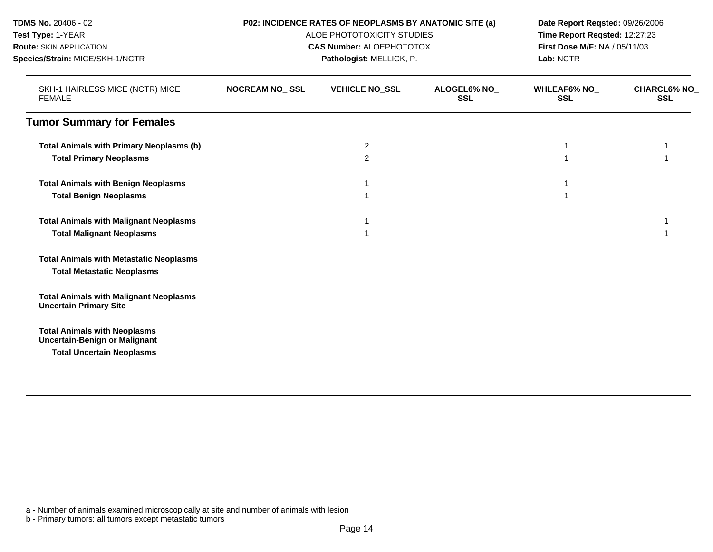| TDMS No. 20406 - 02                                                            |                       | P02: INCIDENCE RATES OF NEOPLASMS BY ANATOMIC SITE (a) | Date Report Reqsted: 09/26/2006<br>Time Report Reqsted: 12:27:23 |                               |                                  |
|--------------------------------------------------------------------------------|-----------------------|--------------------------------------------------------|------------------------------------------------------------------|-------------------------------|----------------------------------|
| Test Type: 1-YEAR                                                              |                       | ALOE PHOTOTOXICITY STUDIES                             |                                                                  |                               |                                  |
| <b>Route: SKIN APPLICATION</b>                                                 |                       | <b>CAS Number: ALOEPHOTOTOX</b>                        |                                                                  | First Dose M/F: NA / 05/11/03 |                                  |
| Species/Strain: MICE/SKH-1/NCTR                                                |                       | Pathologist: MELLICK, P.                               |                                                                  | Lab: NCTR                     |                                  |
| SKH-1 HAIRLESS MICE (NCTR) MICE<br><b>FEMALE</b>                               | <b>NOCREAM NO_SSL</b> | <b>VEHICLE NO_SSL</b>                                  | <b>ALOGEL6% NO</b><br><b>SSL</b>                                 | <b>WHLEAF6% NO_</b><br>SSL    | <b>CHARCL6% NO</b><br><b>SSL</b> |
| <b>Tumor Summary for Females</b>                                               |                       |                                                        |                                                                  |                               |                                  |
| <b>Total Animals with Primary Neoplasms (b)</b>                                |                       | $\overline{c}$                                         |                                                                  |                               |                                  |
| <b>Total Primary Neoplasms</b>                                                 |                       | $\overline{2}$                                         |                                                                  |                               |                                  |
| <b>Total Animals with Benign Neoplasms</b>                                     |                       |                                                        |                                                                  |                               |                                  |
| <b>Total Benign Neoplasms</b>                                                  |                       |                                                        |                                                                  |                               |                                  |
| <b>Total Animals with Malignant Neoplasms</b>                                  |                       |                                                        |                                                                  |                               |                                  |
| <b>Total Malignant Neoplasms</b>                                               |                       |                                                        |                                                                  |                               |                                  |
| <b>Total Animals with Metastatic Neoplasms</b>                                 |                       |                                                        |                                                                  |                               |                                  |
| <b>Total Metastatic Neoplasms</b>                                              |                       |                                                        |                                                                  |                               |                                  |
| <b>Total Animals with Malignant Neoplasms</b><br><b>Uncertain Primary Site</b> |                       |                                                        |                                                                  |                               |                                  |
| <b>Total Animals with Neoplasms</b><br><b>Uncertain-Benign or Malignant</b>    |                       |                                                        |                                                                  |                               |                                  |
| <b>Total Uncertain Neoplasms</b>                                               |                       |                                                        |                                                                  |                               |                                  |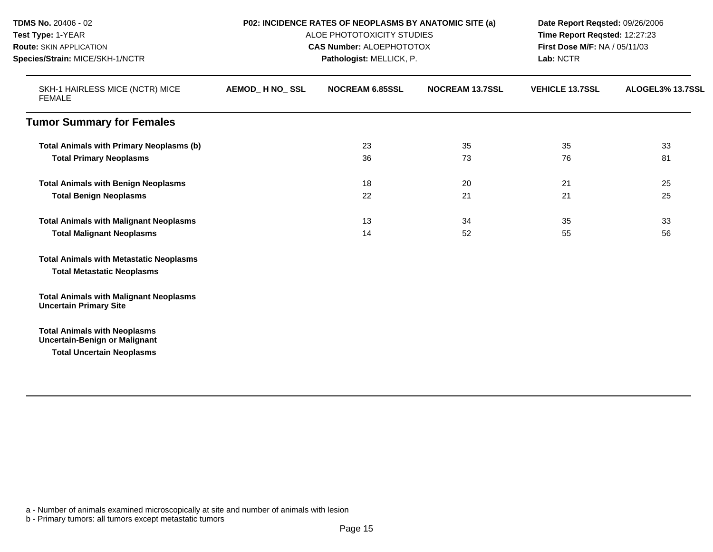| TDMS No. 20406 - 02<br>Test Type: 1-YEAR<br><b>Route: SKIN APPLICATION</b><br>Species/Strain: MICE/SKH-1/NCTR   | P02: INCIDENCE RATES OF NEOPLASMS BY ANATOMIC SITE (a)<br>ALOE PHOTOTOXICITY STUDIES<br><b>CAS Number: ALOEPHOTOTOX</b><br>Pathologist: MELLICK, P. |                        |                        | Date Report Reqsted: 09/26/2006<br>Time Report Regsted: 12:27:23<br>First Dose M/F: NA / 05/11/03<br>Lab: NCTR |                  |
|-----------------------------------------------------------------------------------------------------------------|-----------------------------------------------------------------------------------------------------------------------------------------------------|------------------------|------------------------|----------------------------------------------------------------------------------------------------------------|------------------|
| SKH-1 HAIRLESS MICE (NCTR) MICE<br><b>FEMALE</b>                                                                | AEMOD_H NO_SSL                                                                                                                                      | <b>NOCREAM 6.85SSL</b> | <b>NOCREAM 13.7SSL</b> | <b>VEHICLE 13.7SSL</b>                                                                                         | ALOGEL3% 13.7SSL |
| <b>Tumor Summary for Females</b>                                                                                |                                                                                                                                                     |                        |                        |                                                                                                                |                  |
| <b>Total Animals with Primary Neoplasms (b)</b><br><b>Total Primary Neoplasms</b>                               |                                                                                                                                                     | 23<br>36               | 35<br>73               | 35<br>76                                                                                                       | 33<br>81         |
| <b>Total Animals with Benign Neoplasms</b><br><b>Total Benign Neoplasms</b>                                     |                                                                                                                                                     | 18<br>22               | 20<br>21               | 21<br>21                                                                                                       | 25<br>25         |
| <b>Total Animals with Malignant Neoplasms</b><br><b>Total Malignant Neoplasms</b>                               |                                                                                                                                                     | 13<br>14               | 34<br>52               | 35<br>55                                                                                                       | 33<br>56         |
| <b>Total Animals with Metastatic Neoplasms</b><br><b>Total Metastatic Neoplasms</b>                             |                                                                                                                                                     |                        |                        |                                                                                                                |                  |
| <b>Total Animals with Malignant Neoplasms</b><br><b>Uncertain Primary Site</b>                                  |                                                                                                                                                     |                        |                        |                                                                                                                |                  |
| <b>Total Animals with Neoplasms</b><br><b>Uncertain-Benign or Malignant</b><br><b>Total Uncertain Neoplasms</b> |                                                                                                                                                     |                        |                        |                                                                                                                |                  |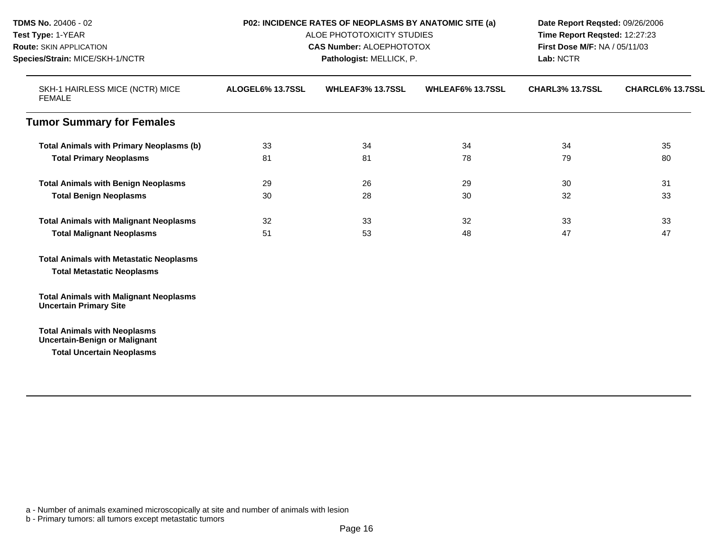| TDMS No. 20406 - 02                                                                                                   | P02: INCIDENCE RATES OF NEOPLASMS BY ANATOMIC SITE (a)<br>ALOE PHOTOTOXICITY STUDIES<br><b>CAS Number: ALOEPHOTOTOX</b><br>Pathologist: MELLICK, P. |    |    | Date Report Reqsted: 09/26/2006<br>Time Report Reqsted: 12:27:23<br>First Dose M/F: NA / 05/11/03<br>Lab: NCTR |    |
|-----------------------------------------------------------------------------------------------------------------------|-----------------------------------------------------------------------------------------------------------------------------------------------------|----|----|----------------------------------------------------------------------------------------------------------------|----|
| Test Type: 1-YEAR                                                                                                     |                                                                                                                                                     |    |    |                                                                                                                |    |
| <b>Route: SKIN APPLICATION</b><br>Species/Strain: MICE/SKH-1/NCTR<br>SKH-1 HAIRLESS MICE (NCTR) MICE<br><b>FEMALE</b> |                                                                                                                                                     |    |    |                                                                                                                |    |
|                                                                                                                       |                                                                                                                                                     |    |    |                                                                                                                |    |
|                                                                                                                       | <b>Tumor Summary for Females</b>                                                                                                                    |    |    |                                                                                                                |    |
| <b>Total Animals with Primary Neoplasms (b)</b>                                                                       | 33                                                                                                                                                  | 34 | 34 | 34                                                                                                             | 35 |
| <b>Total Primary Neoplasms</b>                                                                                        | 81                                                                                                                                                  | 81 | 78 | 79                                                                                                             | 80 |
| <b>Total Animals with Benign Neoplasms</b>                                                                            | 29                                                                                                                                                  | 26 | 29 | 30                                                                                                             | 31 |
| <b>Total Benign Neoplasms</b>                                                                                         | 30                                                                                                                                                  | 28 | 30 | 32                                                                                                             | 33 |
| <b>Total Animals with Malignant Neoplasms</b>                                                                         | 32                                                                                                                                                  | 33 | 32 | 33                                                                                                             | 33 |
| <b>Total Malignant Neoplasms</b>                                                                                      | 51                                                                                                                                                  | 53 | 48 | 47                                                                                                             | 47 |
| <b>Total Animals with Metastatic Neoplasms</b>                                                                        |                                                                                                                                                     |    |    |                                                                                                                |    |
| <b>Total Metastatic Neoplasms</b>                                                                                     |                                                                                                                                                     |    |    |                                                                                                                |    |
| <b>Total Animals with Malignant Neoplasms</b><br><b>Uncertain Primary Site</b>                                        |                                                                                                                                                     |    |    |                                                                                                                |    |
| <b>Total Animals with Neoplasms</b>                                                                                   |                                                                                                                                                     |    |    |                                                                                                                |    |
| <b>Uncertain-Benign or Malignant</b>                                                                                  |                                                                                                                                                     |    |    |                                                                                                                |    |
| <b>Total Uncertain Neoplasms</b>                                                                                      |                                                                                                                                                     |    |    |                                                                                                                |    |